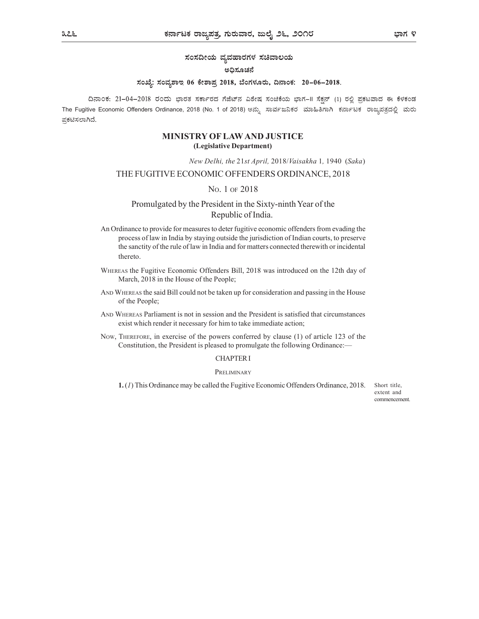# ಸಂಸದೀಯ ವ್ಯವಹಾರಗಳ ಸಚಿವಾಲಯ

# ಅಧಿಸೂಚನೆ

# ಸಂಖ್ಯೆ: ಸಂವ್ಯಶಾಇ 06 ಕೇಶಾಪ್ರ 2018, ಬೆಂಗಳೂರು, ದಿನಾಂಕ: 20–06–2018.

ದಿನಾಂಕ: 21–04–2018 ರಂದು ಭಾರತ ಸರ್ಕಾರದ ಗೆಜೆಟ್ನ ವಿಶೇಷ ಸಂಚಿಕೆಯ ಭಾಗ–II ಸೆಕ್ಷನ್ (1) ರಲ್ಲಿ ಪ್ರಕಟವಾದ ಈ ಕೆಳಕಂಡ The Fugitive Economic Offenders Ordinance, 2018 (No. 1 of 2018) ಅನ್ಸು ಸಾರ್ವಜನಿಕರ ಮಾಹಿತಿಗಾಗಿ ಕರ್ನಾಟಕ ರಾಜ್ಯಪತ್ರದಲ್ಲಿ ಮರು ಪ್ರಕಟಿಸಲಾಗಿದೆ.

# MINISTRY OF LAW AND JUSTICE (Legislative Department)

New Delhi, the 21st April, 2018/Vaisakha 1, 1940 (Saka)

# THE FUGITIVE ECONOMIC OFFENDERS ORDINANCE, 2018

# NO. 1 OF 2018

# Promulgated by the President in the Sixty-ninth Year of the Republic of India.

- An Ordinance to provide for measures to deter fugitive economic offenders from evading the process of law in India by staying outside the jurisdiction of Indian courts, to preserve the sanctity of the rule of law in India and for matters connected therewith or incidental thereto.
- WHEREAS the Fugitive Economic Offenders Bill, 2018 was introduced on the 12th day of March, 2018 in the House of the People;
- AND WHEREAS the said Bill could not be taken up for consideration and passing in the House of the People;
- AND WHEREAS Parliament is not in session and the President is satisfied that circumstances exist which render it necessary for him to take immediate action;
- NOW, THEREFORE, in exercise of the powers conferred by clause (1) of article 123 of the Constitution, the President is pleased to promulgate the following Ordinance:—

#### CHAPTER I

### **PRELIMINARY**

1. (1) This Ordinance may be called the Fugitive Economic Offenders Ordinance, 2018. Short title,

extent and commencement.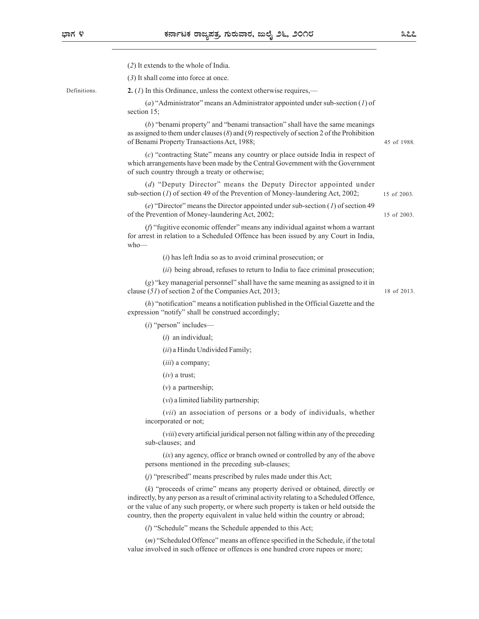Definitions.

| (2) It extends to the whole of India.                                                                                                                                                                                                                                                                                                                       |             |
|-------------------------------------------------------------------------------------------------------------------------------------------------------------------------------------------------------------------------------------------------------------------------------------------------------------------------------------------------------------|-------------|
| (3) It shall come into force at once.                                                                                                                                                                                                                                                                                                                       |             |
| 2. (1) In this Ordinance, unless the context otherwise requires,—                                                                                                                                                                                                                                                                                           |             |
| (a) "Administrator" means an Administrator appointed under sub-section $(I)$ of<br>section 15;                                                                                                                                                                                                                                                              |             |
| $(b)$ "benami property" and "benami transaction" shall have the same meanings<br>as assigned to them under clauses $(8)$ and $(9)$ respectively of section 2 of the Prohibition<br>of Benami Property Transactions Act, 1988;                                                                                                                               | 45 of 1988. |
| (c) "contracting State" means any country or place outside India in respect of<br>which arrangements have been made by the Central Government with the Government<br>of such country through a treaty or otherwise;                                                                                                                                         |             |
| (d) "Deputy Director" means the Deputy Director appointed under<br>sub-section $(I)$ of section 49 of the Prevention of Money-laundering Act, 2002;                                                                                                                                                                                                         | 15 of 2003. |
| (e) "Director" means the Director appointed under sub-section $(I)$ of section 49<br>of the Prevention of Money-laundering Act, 2002;                                                                                                                                                                                                                       | 15 of 2003. |
| $(f)$ "fugitive economic offender" means any individual against whom a warrant<br>for arrest in relation to a Scheduled Offence has been issued by any Court in India,<br>$who$ —                                                                                                                                                                           |             |
| $(i)$ has left India so as to avoid criminal prosecution; or                                                                                                                                                                                                                                                                                                |             |
| (ii) being abroad, refuses to return to India to face criminal prosecution;                                                                                                                                                                                                                                                                                 |             |
| $(g)$ "key managerial personnel" shall have the same meaning as assigned to it in<br>clause (51) of section 2 of the Companies Act, 2013;                                                                                                                                                                                                                   | 18 of 2013. |
| $(h)$ "notification" means a notification published in the Official Gazette and the<br>expression "notify" shall be construed accordingly;                                                                                                                                                                                                                  |             |
| $(i)$ "person" includes—                                                                                                                                                                                                                                                                                                                                    |             |
| $(i)$ an individual;                                                                                                                                                                                                                                                                                                                                        |             |
| (ii) a Hindu Undivided Family;                                                                                                                                                                                                                                                                                                                              |             |
| ( <i>iii</i> ) a company;                                                                                                                                                                                                                                                                                                                                   |             |
| $(iv)$ a trust;                                                                                                                                                                                                                                                                                                                                             |             |
| $(v)$ a partnership;                                                                                                                                                                                                                                                                                                                                        |             |
| $(vi)$ a limited liability partnership;                                                                                                                                                                                                                                                                                                                     |             |
| (vii) an association of persons or a body of individuals, whether<br>incorporated or not;                                                                                                                                                                                                                                                                   |             |
| (viii) every artificial juridical person not falling within any of the preceding<br>sub-clauses; and                                                                                                                                                                                                                                                        |             |
| $(ix)$ any agency, office or branch owned or controlled by any of the above<br>persons mentioned in the preceding sub-clauses;                                                                                                                                                                                                                              |             |
| $(j)$ "prescribed" means prescribed by rules made under this Act;                                                                                                                                                                                                                                                                                           |             |
| $(k)$ "proceeds of crime" means any property derived or obtained, directly or<br>indirectly, by any person as a result of criminal activity relating to a Scheduled Offence,<br>or the value of any such property, or where such property is taken or held outside the<br>country, then the property equivalent in value held within the country or abroad; |             |
| $(l)$ "Schedule" means the Schedule appended to this Act;                                                                                                                                                                                                                                                                                                   |             |
| $(m)$ "Scheduled Offence" means an offence specified in the Schedule, if the total<br>value involved in such offence or offences is one hundred crore rupees or more;                                                                                                                                                                                       |             |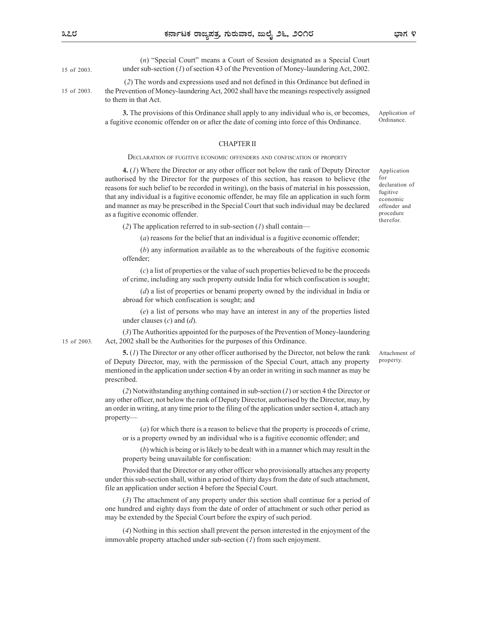(n) "Special Court" means a Court of Session designated as a Special Court under sub-section (1) of section 43 of the Prevention of Money-laundering Act, 2002. 15 of 2003.

 (2) The words and expressions used and not defined in this Ordinance but defined in the Prevention of Money-laundering Act, 2002 shall have the meanings respectively assigned to them in that Act. 15 of 2003.

> 3. The provisions of this Ordinance shall apply to any individual who is, or becomes, a fugitive economic offender on or after the date of coming into force of this Ordinance. Application of Ordinance.

#### CHAPTER II

**EXECUTE CONTROLLAR TIME SET CONDUPLE THE SET OF CONDUPLE AND CONDUPLE (***n***) "Special Court"<br>
(***n***) "Special Court" means a Court of Session designated as a Special Court<br>
ander sub-section (***i***) of section 43 of the Prev** 4. (1) Where the Director or any other officer not below the rank of Deputy Director authorised by the Director for the purposes of this section, has reason to believe (the <sup>for</sup> reasons for such belief to be recorded in writing), on the basis of material in his possession, that any individual is a fugitive economic offender, he may file an application in such form and manner as may be prescribed in the Special Court that such individual may be declared as a fugitive economic offender.

Application for declaration of fugitive economic offender and procedure therefor.

(2) The application referred to in sub-section  $(I)$  shall contain—

(a) reasons for the belief that an individual is a fugitive economic offender;

(b) any information available as to the whereabouts of the fugitive economic offender;

(c) a list of properties or the value of such properties believed to be the proceeds of crime, including any such property outside India for which confiscation is sought;

(d) a list of properties or benami property owned by the individual in India or abroad for which confiscation is sought; and

(e) a list of persons who may have an interest in any of the properties listed under clauses  $(c)$  and  $(d)$ .

(3) The Authorities appointed for the purposes of the Prevention of Money-laundering Act, 2002 shall be the Authorities for the purposes of this Ordinance. 15 of 2003.

> 5. (1) The Director or any other officer authorised by the Director, not below the rank of Deputy Director, may, with the permission of the Special Court, attach any property mentioned in the application under section 4 by an order in writing in such manner as may be prescribed.

> $(2)$  Notwithstanding anything contained in sub-section  $(1)$  or section 4 the Director or any other officer, not below the rank of Deputy Director, authorised by the Director, may, by an order in writing, at any time prior to the filing of the application under section 4, attach any property—

(a) for which there is a reason to believe that the property is proceeds of crime, or is a property owned by an individual who is a fugitive economic offender; and

(b) which is being or is likely to be dealt with in a manner which may result in the property being unavailable for confiscation:

Provided that the Director or any other officer who provisionally attaches any property under this sub-section shall, within a period of thirty days from the date of such attachment, file an application under section 4 before the Special Court.

(3) The attachment of any property under this section shall continue for a period of one hundred and eighty days from the date of order of attachment or such other period as may be extended by the Special Court before the expiry of such period.

(4) Nothing in this section shall prevent the person interested in the enjoyment of the immovable property attached under sub-section (1) from such enjoyment.

Attachment of property.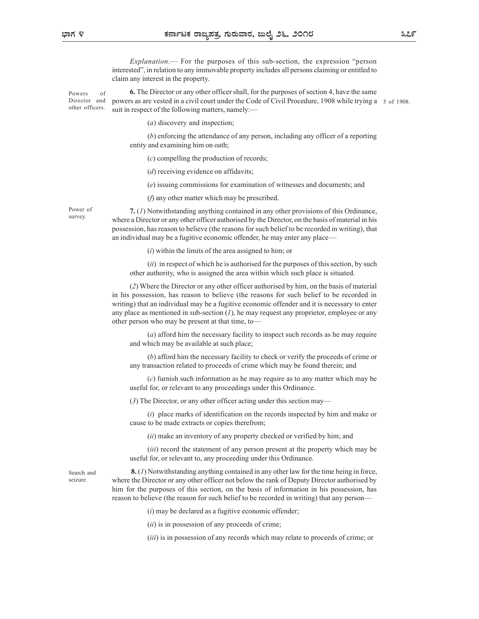Explanation.— For the purposes of this sub-section, the expression "person interested", in relation to any immovable property includes all persons claiming or entitled to claim any interest in the property.

Powers of 6. The Director or any other officer shall, for the purposes of section 4, have the same Director and powers as are vested in a civil court under the Code of Civil Procedure, 1908 while trying a 5 of 1908. other officers. suit in respect of the following matters, namely:—

(a) discovery and inspection;

(b) enforcing the attendance of any person, including any officer of a reporting entity and examining him on oath;

(c) compelling the production of records;

(*d*) receiving evidence on affidavits;

(e) issuing commissions for examination of witnesses and documents; and

(f) any other matter which may be prescribed.

Power of  $7. (1)$  Notwithstanding anything contained in any other provisions of this Ordinance, survey.<br>Where a Director or any other officer authorised by the Director, on the basis of material in his possession, has reason to believe (the reasons for such belief to be recorded in writing), that an individual may be a fugitive economic offender, he may enter any place—

 $(i)$  within the limits of the area assigned to him; or

 $(ii)$  in respect of which he is authorised for the purposes of this section, by such other authority, who is assigned the area within which such place is situated.

(2) Where the Director or any other officer authorised by him, on the basis of material in his possession, has reason to believe (the reasons for such belief to be recorded in writing) that an individual may be a fugitive economic offender and it is necessary to enter any place as mentioned in sub-section  $(I)$ , he may request any proprietor, employee or any other person who may be present at that time, to—

(a) afford him the necessary facility to inspect such records as he may require and which may be available at such place;

(b) afford him the necessary facility to check or verify the proceeds of crime or any transaction related to proceeds of crime which may be found therein; and

(c) furnish such information as he may require as to any matter which may be useful for, or relevant to any proceedings under this Ordinance.

(3) The Director, or any other officer acting under this section may—

(i) place marks of identification on the records inspected by him and make or cause to be made extracts or copies therefrom;

(ii) make an inventory of any property checked or verified by him; and

(*iii*) record the statement of any person present at the property which may be useful for, or relevant to, any proceeding under this Ordinance.

Search and  $\mathbf{8}.(1)$  Notwithstanding anything contained in any other law for the time being in force, where the Director or any other officer not below the rank of Deputy Director authorised by him for the purposes of this section, on the basis of information in his possession, has reason to believe (the reason for such belief to be recorded in writing) that any person—

 $(i)$  may be declared as a fugitive economic offender;

 $(ii)$  is in possession of any proceeds of crime;

(*iii*) is in possession of any records which may relate to proceeds of crime; or

seizure.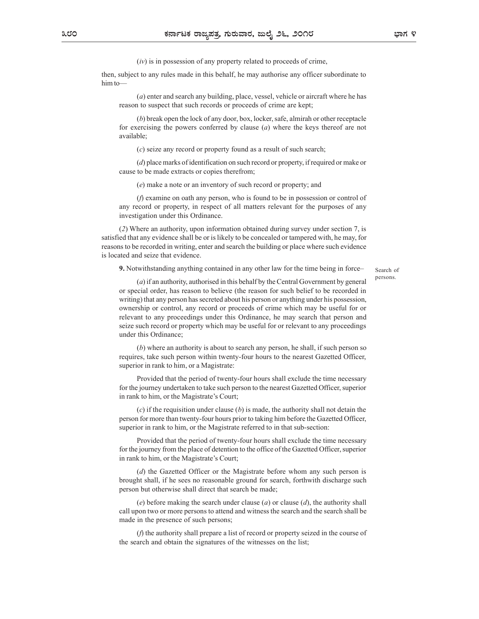$(iv)$  is in possession of any property related to proceeds of crime,

then, subject to any rules made in this behalf, he may authorise any officer subordinate to him to—

(a) enter and search any building, place, vessel, vehicle or aircraft where he has reason to suspect that such records or proceeds of crime are kept;

(b) break open the lock of any door, box, locker, safe, almirah or other receptacle for exercising the powers conferred by clause  $(a)$  where the keys thereof are not available;

(c) seize any record or property found as a result of such search;

(d) place marks of identification on such record or property, if required or make or cause to be made extracts or copies therefrom;

(e) make a note or an inventory of such record or property; and

(f) examine on oath any person, who is found to be in possession or control of any record or property, in respect of all matters relevant for the purposes of any investigation under this Ordinance.

(2) Where an authority, upon information obtained during survey under section 7, is satisfied that any evidence shall be or is likely to be concealed or tampered with, he may, for reasons to be recorded in writing, enter and search the building or place where such evidence is located and seize that evidence.

9. Notwithstanding anything contained in any other law for the time being in force–

Search of persons.

(a) if an authority, authorised in this behalf by the Central Government by general or special order, has reason to believe (the reason for such belief to be recorded in writing) that any person has secreted about his person or anything under his possession, ownership or control, any record or proceeds of crime which may be useful for or relevant to any proceedings under this Ordinance, he may search that person and seize such record or property which may be useful for or relevant to any proceedings under this Ordinance;

(b) where an authority is about to search any person, he shall, if such person so requires, take such person within twenty-four hours to the nearest Gazetted Officer, superior in rank to him, or a Magistrate:

Provided that the period of twenty-four hours shall exclude the time necessary for the journey undertaken to take such person to the nearest Gazetted Officer, superior in rank to him, or the Magistrate's Court;

 $(c)$  if the requisition under clause  $(b)$  is made, the authority shall not detain the person for more than twenty-four hours prior to taking him before the Gazetted Officer, superior in rank to him, or the Magistrate referred to in that sub-section:

Provided that the period of twenty-four hours shall exclude the time necessary for the journey from the place of detention to the office of the Gazetted Officer, superior in rank to him, or the Magistrate's Court;

(d) the Gazetted Officer or the Magistrate before whom any such person is brought shall, if he sees no reasonable ground for search, forthwith discharge such person but otherwise shall direct that search be made;

(e) before making the search under clause (a) or clause (d), the authority shall call upon two or more persons to attend and witness the search and the search shall be made in the presence of such persons;

(f) the authority shall prepare a list of record or property seized in the course of the search and obtain the signatures of the witnesses on the list;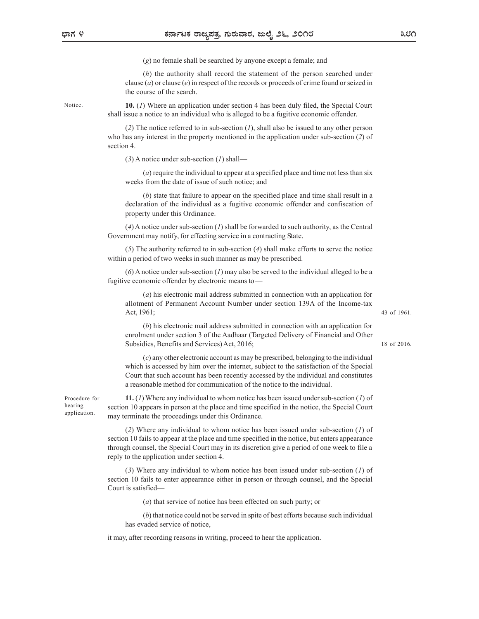(g) no female shall be searched by anyone except a female; and

(h) the authority shall record the statement of the person searched under clause (*a*) or clause (*e*) in respect of the records or proceeds of crime found or seized in the course of the search.

application.

Notice. **10.** (*I*) Where an application under section 4 has been duly filed, the Special Court shall issue a notice to an individual who is alleged to be a fugitive economic offender.

> (2) The notice referred to in sub-section  $(1)$ , shall also be issued to any other person who has any interest in the property mentioned in the application under sub-section (2) of section 4.

 $(3)$  A notice under sub-section  $(1)$  shall—

(a) require the individual to appear at a specified place and time not less than six weeks from the date of issue of such notice; and

(b) state that failure to appear on the specified place and time shall result in a declaration of the individual as a fugitive economic offender and confiscation of property under this Ordinance.

 $(4)$  A notice under sub-section  $(1)$  shall be forwarded to such authority, as the Central Government may notify, for effecting service in a contracting State.

(5) The authority referred to in sub-section (4) shall make efforts to serve the notice within a period of two weeks in such manner as may be prescribed.

 $(6)$  A notice under sub-section (1) may also be served to the individual alleged to be a fugitive economic offender by electronic means to—

(a) his electronic mail address submitted in connection with an application for allotment of Permanent Account Number under section 139A of the Income-tax Act, 1961;

43 of 1961.

(b) his electronic mail address submitted in connection with an application for enrolment under section 3 of the Aadhaar (Targeted Delivery of Financial and Other Subsidies, Benefits and Services) Act, 2016;

18 of 2016.

(c) any other electronic account as may be prescribed, belonging to the individual which is accessed by him over the internet, subject to the satisfaction of the Special (a) bis electronic memberial and peace and the individual and expected by the individual of the individual as a registered by the individual and the such and the such and the individual and the individual as a fugity expe a reasonable method for communication of the notice to the individual.

Procedure for **11.** (*I*) Where any individual to whom notice has been issued under sub-section (*I*) of section 10 appears in person at the place and time specified in the notice, the Special Court hearing may terminate the proceedings under this Ordinance.

> (2) Where any individual to whom notice has been issued under sub-section (1) of section 10 fails to appear at the place and time specified in the notice, but enters appearance through counsel, the Special Court may in its discretion give a period of one week to file a reply to the application under section 4.

> (3) Where any individual to whom notice has been issued under sub-section (1) of section 10 fails to enter appearance either in person or through counsel, and the Special Court is satisfied—

> > (a) that service of notice has been effected on such party; or

(b) that notice could not be served in spite of best efforts because such individual has evaded service of notice,

it may, after recording reasons in writing, proceed to hear the application.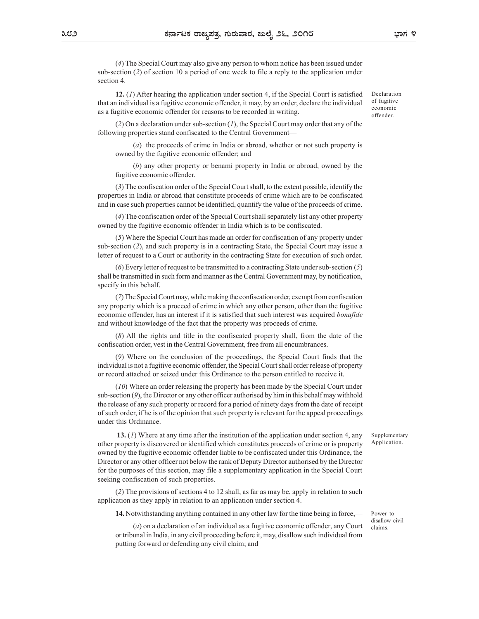(4) The Special Court may also give any person to whom notice has been issued under sub-section (2) of section 10 a period of one week to file a reply to the application under section 4.

12.  $(I)$  After hearing the application under section 4, if the Special Court is satisfied that an individual is a fugitive economic offender, it may, by an order, declare the individual as a fugitive economic offender for reasons to be recorded in writing.

Declaration of fugitive economic offender.

 $(2)$  On a declaration under sub-section  $(1)$ , the Special Court may order that any of the following properties stand confiscated to the Central Government—

(a) the proceeds of crime in India or abroad, whether or not such property is owned by the fugitive economic offender; and

(b) any other property or benami property in India or abroad, owned by the fugitive economic offender.

(3) The confiscation order of the Special Court shall, to the extent possible, identify the properties in India or abroad that constitute proceeds of crime which are to be confiscated and in case such properties cannot be identified, quantify the value of the proceeds of crime.

(4) The confiscation order of the Special Court shall separately list any other property owned by the fugitive economic offender in India which is to be confiscated.

(5) Where the Special Court has made an order for confiscation of any property under sub-section (2), and such property is in a contracting State, the Special Court may issue a letter of request to a Court or authority in the contracting State for execution of such order.

(6) Every letter of request to be transmitted to a contracting State under sub-section (5) shall be transmitted in such form and manner as the Central Government may, by notification, specify in this behalf.

(7) The Special Court may, while making the confiscation order, exempt from confiscation any property which is a proceed of crime in which any other person, other than the fugitive economic offender, has an interest if it is satisfied that such interest was acquired *bonafide* and without knowledge of the fact that the property was proceeds of crime.

(8) All the rights and title in the confiscated property shall, from the date of the confiscation order, vest in the Central Government, free from all encumbrances.

(9) Where on the conclusion of the proceedings, the Special Court finds that the individual is not a fugitive economic offender, the Special Court shall order release of property or record attached or seized under this Ordinance to the person entitled to receive it.

(10) Where an order releasing the property has been made by the Special Court under sub-section  $(9)$ , the Director or any other officer authorised by him in this behalf may withhold the release of any such property or record for a period of ninety days from the date of receipt of such order, if he is of the opinion that such property is relevant for the appeal proceedings under this Ordinance.

13.  $(1)$  Where at any time after the institution of the application under section 4, any other property is discovered or identified which constitutes proceeds of crime or is property owned by the fugitive economic offender liable to be confiscated under this Ordinance, the Director or any other officer not below the rank of Deputy Director authorised by the Director for the purposes of this section, may file a supplementary application in the Special Court seeking confiscation of such properties.

(2) The provisions of sections 4 to 12 shall, as far as may be, apply in relation to such application as they apply in relation to an application under section 4.

14. Notwithstanding anything contained in any other law for the time being in force,—

(a) on a declaration of an individual as a fugitive economic offender, any Court or tribunal in India, in any civil proceeding before it, may, disallow such individual from putting forward or defending any civil claim; and

Supplementary Application.

Power to disallow civil claims.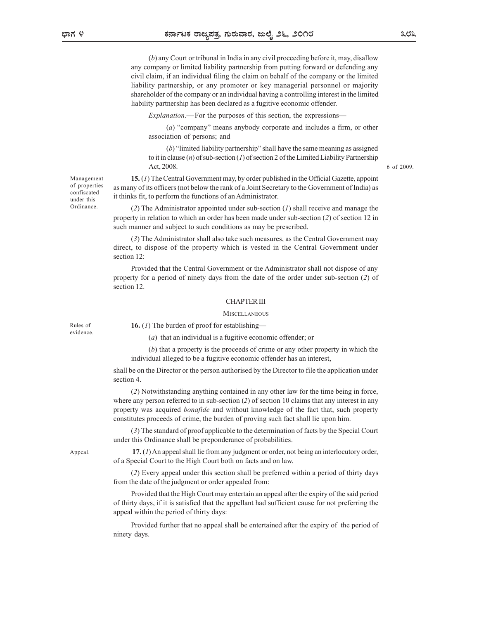(b) any Court or tribunal in India in any civil proceeding before it, may, disallow any company or limited liability partnership from putting forward or defending any civil claim, if an individual filing the claim on behalf of the company or the limited liability partnership, or any promoter or key managerial personnel or majority shareholder of the company or an individual having a controlling interest in the limited liability partnership has been declared as a fugitive economic offender. **Explores of the purposes of this section.** And  $\theta$  and  $\theta$  and  $\theta$  and  $\theta$  and  $\theta$  and  $\theta$  and  $\theta$  and  $\theta$  and  $\theta$  and  $\theta$  and  $\theta$  and  $\theta$  is minitial limits of the purpose of the company or the limit of the

(a) "company" means anybody corporate and includes a firm, or other association of persons; and

(b) "limited liability partnership" shall have the same meaning as assigned to it in clause (*n*) of sub-section (*I*) of section 2 of the Limited Liability Partnership Act, 2008.

Management **15.** (*I*) The Central Government may, by order published in the Official Gazette, appoint as many of its officers (not below the rank of a Joint Secretary to the Government of India) as of properties onfiscated it thinks fit, to perform the functions of an Administrator.

> (2) The Administrator appointed under sub-section  $(1)$  shall receive and manage the property in relation to which an order has been made under sub-section (2) of section 12 in such manner and subject to such conditions as may be prescribed.

> (3) The Administrator shall also take such measures, as the Central Government may direct, to dispose of the property which is vested in the Central Government under section 12:

> Provided that the Central Government or the Administrator shall not dispose of any property for a period of ninety days from the date of the order under sub-section (2) of section 12.

## CHAPTER III

## **MISCELLANEOUS**

Rules of  $\qquad 16. (I)$  The burden of proof for establishing—

(a) that an individual is a fugitive economic offender; or

(b) that a property is the proceeds of crime or any other property in which the individual alleged to be a fugitive economic offender has an interest,

shall be on the Director or the person authorised by the Director to file the application under section 4.

(2) Notwithstanding anything contained in any other law for the time being in force, where any person referred to in sub-section (2) of section 10 claims that any interest in any property was acquired *bonafide* and without knowledge of the fact that, such property constitutes proceeds of crime, the burden of proving such fact shall lie upon him.

(3) The standard of proof applicable to the determination of facts by the Special Court under this Ordinance shall be preponderance of probabilities.

Appeal. **17.** (*I*) An appeal shall lie from any judgment or order, not being an interlocutory order, of a Special Court to the High Court both on facts and on law.

> (2) Every appeal under this section shall be preferred within a period of thirty days from the date of the judgment or order appealed from:

> Provided that the High Court may entertain an appeal after the expiry of the said period of thirty days, if it is satisfied that the appellant had sufficient cause for not preferring the appeal within the period of thirty days:

> Provided further that no appeal shall be entertained after the expiry of the period of ninety days.

evidence

Ordinance.

under this  $\frac{1}{2}$  is the thinks in, to perform the

6 of 2009.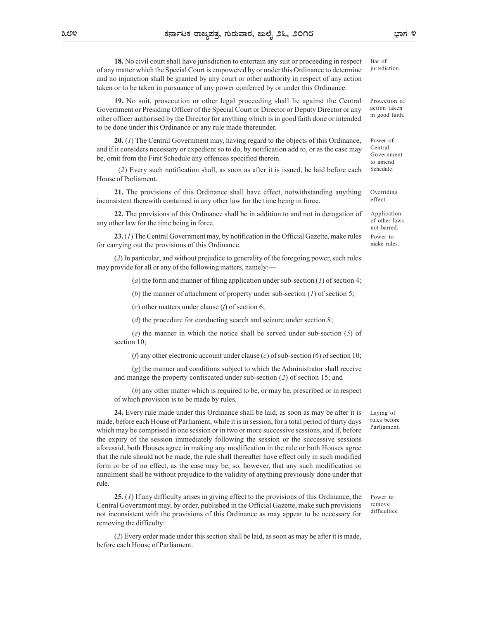18. No civil court shall have jurisdiction to entertain any suit or proceeding in respect of any matter which the Special Court is empowered by or under this Ordinance to determine and no injunction shall be granted by any court or other authority in respect of any action taken or to be taken in pursuance of any power conferred by or under this Ordinance. **EXECUTE OF THE SPECT COURTER CONDUCTER** (See the Special Court of the Special Court shall have jurisdiction to entertain any suit or proceeding in respect Bar of the Special Court is empowered by or under this Ordinance jurisdiction.

19. No suit, prosecution or other legal proceeding shall lie against the Central other officer authorised by the Director for anything which is in good faith done or intended to be done under this Ordinance or any rule made thereunder.

20. (1) The Central Government may, having regard to the objects of this Ordinance, and if it considers necessary or expedient so to do, by notification add to, or as the case may be, omit from the First Schedule any offences specified therein.

 (2) Every such notification shall, as soon as after it is issued, be laid before each House of Parliament.

21. The provisions of this Ordinance shall have effect, notwithstanding anything inconsistent therewith contained in any other law for the time being in force.

22. The provisions of this Ordinance shall be in addition to and not in derogation of any other law for the time being in force.

23. (1) The Central Government may, by notification in the Official Gazette, make rules for carrying out the provisions of this Ordinance.

(2) In particular, and without prejudice to generality of the foregoing power, such rules may provide for all or any of the following matters, namely:—

(a) the form and manner of filing application under sub-section  $(I)$  of section 4;

(b) the manner of attachment of property under sub-section  $(1)$  of section 5;

(c) other matters under clause (f) of section 6;

(d) the procedure for conducting search and seizure under section 8;

(e) the manner in which the notice shall be served under sub-section (5) of section 10;

(f) any other electronic account under clause (c) of sub-section (6) of section 10;

(g) the manner and conditions subject to which the Administrator shall receive and manage the property confiscated under sub-section (2) of section 15; and

(h) any other matter which is required to be, or may be, prescribed or in respect of which provision is to be made by rules.

24. Every rule made under this Ordinance shall be laid, as soon as may be after it is made, before each House of Parliament, while it is in session, for a total period of thirty days which may be comprised in one session or in two or more successive sessions, and if, before the expiry of the session immediately following the session or the successive sessions aforesaid, both Houses agree in making any modification in the rule or both Houses agree that the rule should not be made, the rule shall thereafter have effect only in such modified form or be of no effect, as the case may be; so, however, that any such modification or annulment shall be without prejudice to the validity of anything previously done under that rule.

25. (1) If any difficulty arises in giving effect to the provisions of this Ordinance, the Central Government may, by order, published in the Official Gazette, make such provisions not inconsistent with the provisions of this Ordinance as may appear to be necessary for removing the difficulty:

(2) Every order made under this section shall be laid, as soon as may be after it is made, before each House of Parliament.

Power to remove difficulties

Laying of rules before Parliament.

Bar of

Protection of action taken in good faith.

Power of Central Government to amend Schedule.

Overriding effect.

Application of other laws not barred. Power to make rules.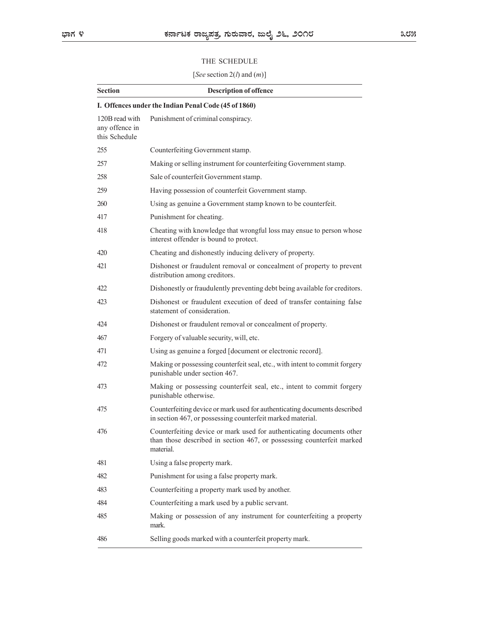# THE SCHEDULE

| THE SCHEDULE                                      |                                                                                                                                                             |  |
|---------------------------------------------------|-------------------------------------------------------------------------------------------------------------------------------------------------------------|--|
|                                                   | [See section 2( <i>l</i> ) and $(m)$ ]                                                                                                                      |  |
| <b>Section</b>                                    | <b>Description of offence</b>                                                                                                                               |  |
|                                                   | I. Offences under the Indian Penal Code (45 of 1860)                                                                                                        |  |
| 120B read with<br>any offence in<br>this Schedule | Punishment of criminal conspiracy.                                                                                                                          |  |
| 255                                               | Counterfeiting Government stamp.                                                                                                                            |  |
| 257                                               | Making or selling instrument for counterfeiting Government stamp.                                                                                           |  |
| 258                                               | Sale of counterfeit Government stamp.                                                                                                                       |  |
| 259                                               | Having possession of counterfeit Government stamp.                                                                                                          |  |
| 260                                               | Using as genuine a Government stamp known to be counterfeit.                                                                                                |  |
| 417                                               | Punishment for cheating.                                                                                                                                    |  |
| 418                                               | Cheating with knowledge that wrongful loss may ensue to person whose<br>interest offender is bound to protect.                                              |  |
| 420                                               | Cheating and dishonestly inducing delivery of property.                                                                                                     |  |
| 421                                               | Dishonest or fraudulent removal or concealment of property to prevent<br>distribution among creditors.                                                      |  |
| 422                                               | Dishonestly or fraudulently preventing debt being available for creditors.                                                                                  |  |
| 423                                               | Dishonest or fraudulent execution of deed of transfer containing false<br>statement of consideration.                                                       |  |
| 424                                               | Dishonest or fraudulent removal or concealment of property.                                                                                                 |  |
| 467                                               | Forgery of valuable security, will, etc.                                                                                                                    |  |
| 471                                               | Using as genuine a forged [document or electronic record].                                                                                                  |  |
| 472                                               | Making or possessing counterfeit seal, etc., with intent to commit forgery<br>punishable under section 467.                                                 |  |
| 473                                               | Making or possessing counterfeit seal, etc., intent to commit forgery<br>punishable otherwise.                                                              |  |
| 475                                               | Counterfeiting device or mark used for authenticating documents described<br>in section 467, or possessing counterfeit marked material.                     |  |
| 476                                               | Counterfeiting device or mark used for authenticating documents other<br>than those described in section 467, or possessing counterfeit marked<br>material. |  |
| 481                                               | Using a false property mark.                                                                                                                                |  |
| 482                                               | Punishment for using a false property mark.                                                                                                                 |  |
| 483                                               | Counterfeiting a property mark used by another.                                                                                                             |  |
| 484                                               | Counterfeiting a mark used by a public servant.                                                                                                             |  |
| 485                                               | Making or possession of any instrument for counterfeiting a property<br>mark.                                                                               |  |
| 486                                               | Selling goods marked with a counterfeit property mark.                                                                                                      |  |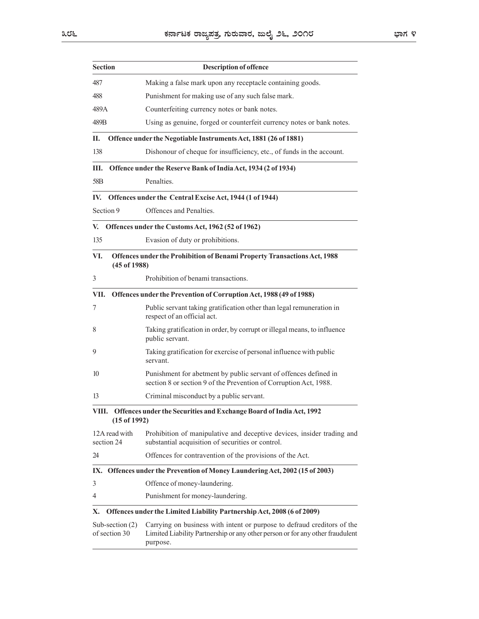|                                    | ಕರ್ನಾಟಕ ರಾಜ್ಯಪತ್ರ, ಗುರುವಾರ, ಜುಲೈ ೨೬, ೨೦೧೮                                                                                                                            | ಭಾಗ ೪ |
|------------------------------------|----------------------------------------------------------------------------------------------------------------------------------------------------------------------|-------|
| <b>Section</b>                     | <b>Description of offence</b>                                                                                                                                        |       |
| 487                                | Making a false mark upon any receptacle containing goods.                                                                                                            |       |
| 488                                | Punishment for making use of any such false mark.                                                                                                                    |       |
| 489A                               | Counterfeiting currency notes or bank notes.                                                                                                                         |       |
| 489B                               | Using as genuine, forged or counterfeit currency notes or bank notes.                                                                                                |       |
| П.                                 | Offence under the Negotiable Instruments Act, 1881 (26 of 1881)                                                                                                      |       |
| 138                                | Dishonour of cheque for insufficiency, etc., of funds in the account.                                                                                                |       |
| Ш.                                 | Offence under the Reserve Bank of India Act, 1934 (2 of 1934)                                                                                                        |       |
| 58 <sub>B</sub>                    | Penalties.                                                                                                                                                           |       |
| IV.                                | Offences under the Central Excise Act, 1944 (1 of 1944)                                                                                                              |       |
| Section 9                          | Offences and Penalties.                                                                                                                                              |       |
|                                    | V. Offences under the Customs Act, 1962 (52 of 1962)                                                                                                                 |       |
| 135                                | Evasion of duty or prohibitions.                                                                                                                                     |       |
| VI.<br>(45 of 1988)                | Offences under the Prohibition of Benami Property Transactions Act, 1988                                                                                             |       |
| 3                                  | Prohibition of benami transactions.                                                                                                                                  |       |
| VII.                               | Offences under the Prevention of Corruption Act, 1988 (49 of 1988)                                                                                                   |       |
| 7                                  | Public servant taking gratification other than legal remuneration in<br>respect of an official act.                                                                  |       |
| 8                                  | Taking gratification in order, by corrupt or illegal means, to influence<br>public servant.                                                                          |       |
| 9                                  | Taking gratification for exercise of personal influence with public<br>servant.                                                                                      |       |
| 10                                 | Punishment for abetment by public servant of offences defined in<br>section 8 or section 9 of the Prevention of Corruption Act, 1988.                                |       |
| 13                                 | Criminal misconduct by a public servant.                                                                                                                             |       |
| $(15$ of 1992)                     | VIII. Offences under the Securities and Exchange Board of India Act, 1992                                                                                            |       |
| 12A read with<br>section 24        | Prohibition of manipulative and deceptive devices, insider trading and<br>substantial acquisition of securities or control.                                          |       |
| 24                                 | Offences for contravention of the provisions of the Act.                                                                                                             |       |
|                                    | IX. Offences under the Prevention of Money Laundering Act, 2002 (15 of 2003)                                                                                         |       |
| 3                                  | Offence of money-laundering.                                                                                                                                         |       |
| 4                                  | Punishment for money-laundering.                                                                                                                                     |       |
| Х.                                 | Offences under the Limited Liability Partnership Act, 2008 (6 of 2009)                                                                                               |       |
| Sub-section $(2)$<br>of section 30 | Carrying on business with intent or purpose to defraud creditors of the<br>Limited Liability Partnership or any other person or for any other fraudulent<br>purpose. |       |